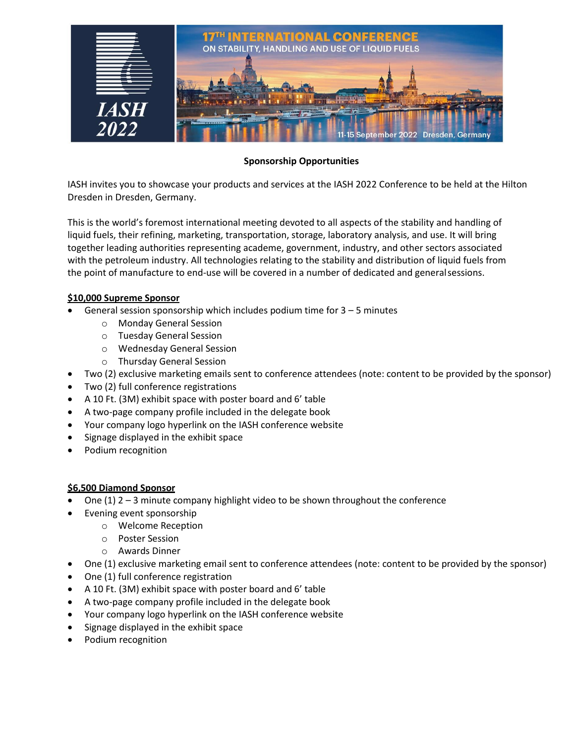

# **Sponsorship Opportunities**

IASH invites you to showcase your products and services at the IASH 2022 Conference to be held at the Hilton Dresden in Dresden, Germany.

This is the world's foremost international meeting devoted to all aspects of the stability and handling of liquid fuels, their refining, marketing, transportation, storage, laboratory analysis, and use. It will bring together leading authorities representing academe, government, industry, and other sectors associated with the petroleum industry. All technologies relating to the stability and distribution of liquid fuels from the point of manufacture to end-use will be covered in a number of dedicated and generalsessions.

#### **\$10,000 Supreme Sponsor**

- General session sponsorship which includes podium time for  $3 5$  minutes
	- o Monday General Session
	- o Tuesday General Session
	- o Wednesday General Session
	- o Thursday General Session
- Two (2) exclusive marketing emails sent to conference attendees (note: content to be provided by the sponsor)
- Two (2) full conference registrations
- A 10 Ft. (3M) exhibit space with poster board and 6' table
- A two-page company profile included in the delegate book
- Your company logo hyperlink on the IASH conference website
- Signage displayed in the exhibit space
- Podium recognition

#### **\$6,500 Diamond Sponsor**

- One (1)  $2 3$  minute company highlight video to be shown throughout the conference
- Evening event sponsorship
	- o Welcome Reception
	- o Poster Session
	- o Awards Dinner
- One (1) exclusive marketing email sent to conference attendees (note: content to be provided by the sponsor)
- One (1) full conference registration
- A 10 Ft. (3M) exhibit space with poster board and 6' table
- A two-page company profile included in the delegate book
- Your company logo hyperlink on the IASH conference website
- Signage displayed in the exhibit space
- Podium recognition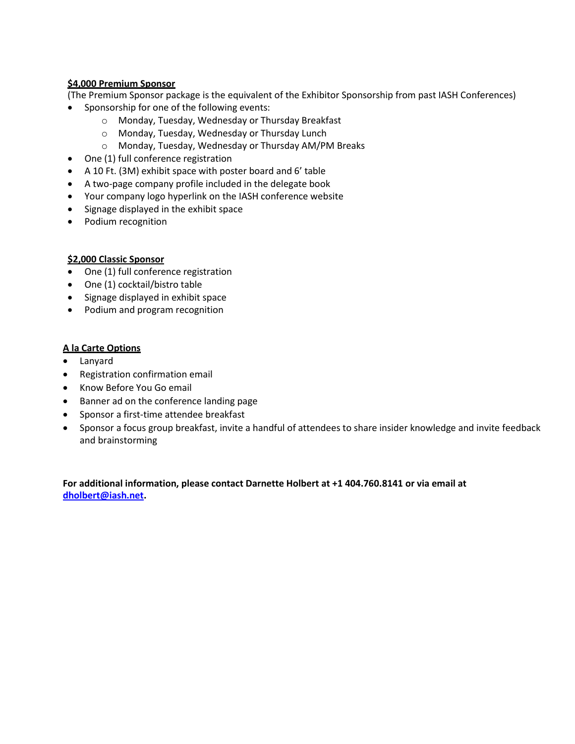## **\$4,000 Premium Sponsor**

(The Premium Sponsor package is the equivalent of the Exhibitor Sponsorship from past IASH Conferences)

- Sponsorship for one of the following events:
	- o Monday, Tuesday, Wednesday or Thursday Breakfast
	- o Monday, Tuesday, Wednesday or Thursday Lunch
	- o Monday, Tuesday, Wednesday or Thursday AM/PM Breaks
- One (1) full conference registration
- A 10 Ft. (3M) exhibit space with poster board and 6' table
- A two-page company profile included in the delegate book
- Your company logo hyperlink on the IASH conference website
- Signage displayed in the exhibit space
- Podium recognition

# **\$2,000 Classic Sponsor**

- One (1) full conference registration
- One (1) cocktail/bistro table
- Signage displayed in exhibit space
- Podium and program recognition

### **A la Carte Options**

- Lanyard
- Registration confirmation email
- Know Before You Go email
- Banner ad on the conference landing page
- Sponsor a first-time attendee breakfast
- Sponsor a focus group breakfast, invite a handful of attendees to share insider knowledge and invite feedback and brainstorming

**For additional information, please contact Darnette Holbert at +1 404.760.8141 or via email at [dholbert@iash.net.](mailto:dholbert@iash.net)**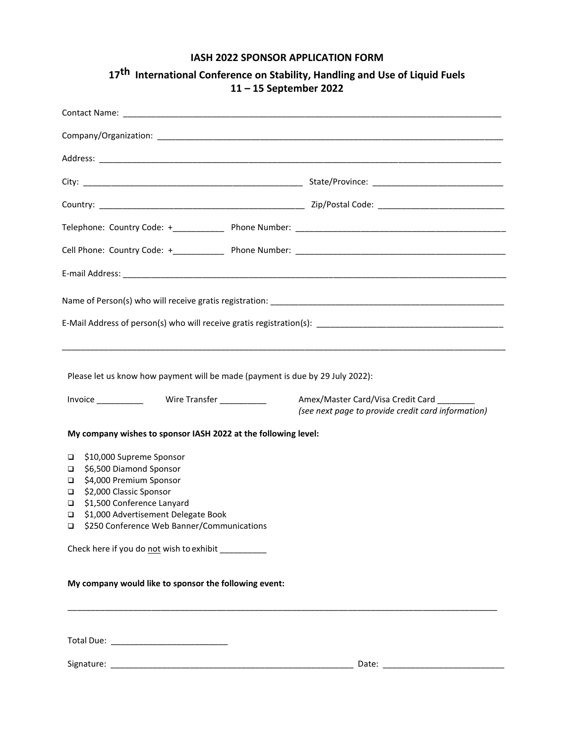# **IASH 2022 SPONSOR APPLICATION FORM**

| Please let us know how payment will be made (payment is due by 29 July 2022):<br>Amex/Master Card/Visa Credit Card<br>(see next page to provide credit card information)<br>My company wishes to sponsor IASH 2022 at the following level:<br>\$10,000 Supreme Sponsor<br>$\Box$<br>\$6,500 Diamond Sponsor<br>❏<br>\$4,000 Premium Sponsor<br>❏<br>\$2,000 Classic Sponsor<br>❏<br>\$1,500 Conference Lanyard<br>❏<br>\$1,000 Advertisement Delegate Book<br>❏<br>\$250 Conference Web Banner/Communications<br>❏<br>Check here if you do not wish to exhibit __________<br>My company would like to sponsor the following event: |  |  |
|------------------------------------------------------------------------------------------------------------------------------------------------------------------------------------------------------------------------------------------------------------------------------------------------------------------------------------------------------------------------------------------------------------------------------------------------------------------------------------------------------------------------------------------------------------------------------------------------------------------------------------|--|--|
|                                                                                                                                                                                                                                                                                                                                                                                                                                                                                                                                                                                                                                    |  |  |
|                                                                                                                                                                                                                                                                                                                                                                                                                                                                                                                                                                                                                                    |  |  |
|                                                                                                                                                                                                                                                                                                                                                                                                                                                                                                                                                                                                                                    |  |  |

**17 th International Conference on Stability, Handling and Use of Liquid Fuels 11 – 15 September 2022**